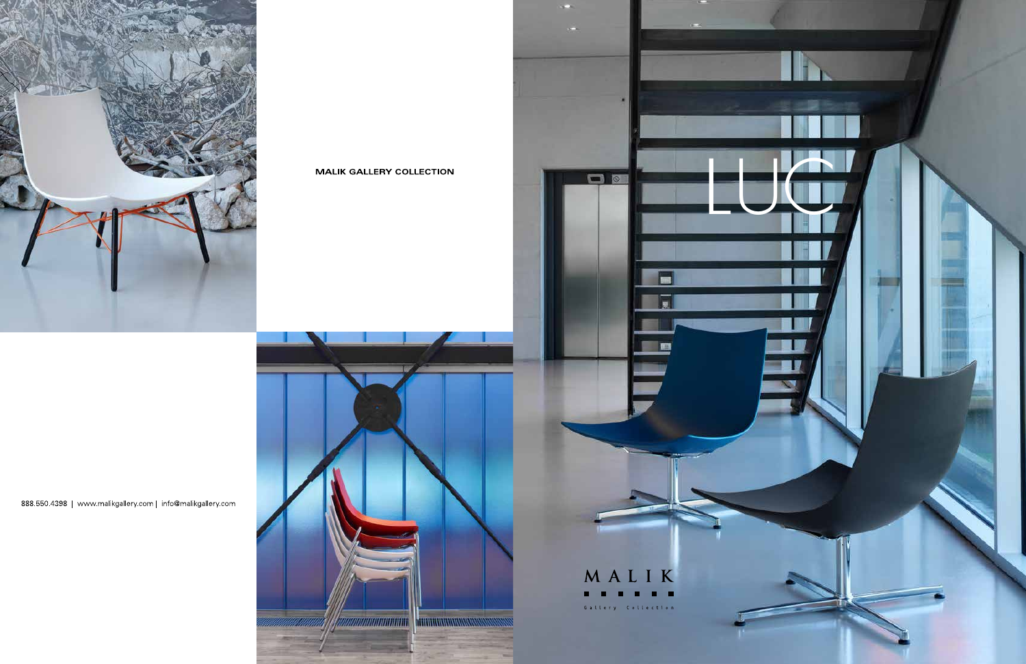

**MALIK GALLERY COLLECTION** 





OD **ISS** MALIK . . . . . . Gallery Collection

888.550.4398 | www.malikgallery.com | info@malikgallery.com